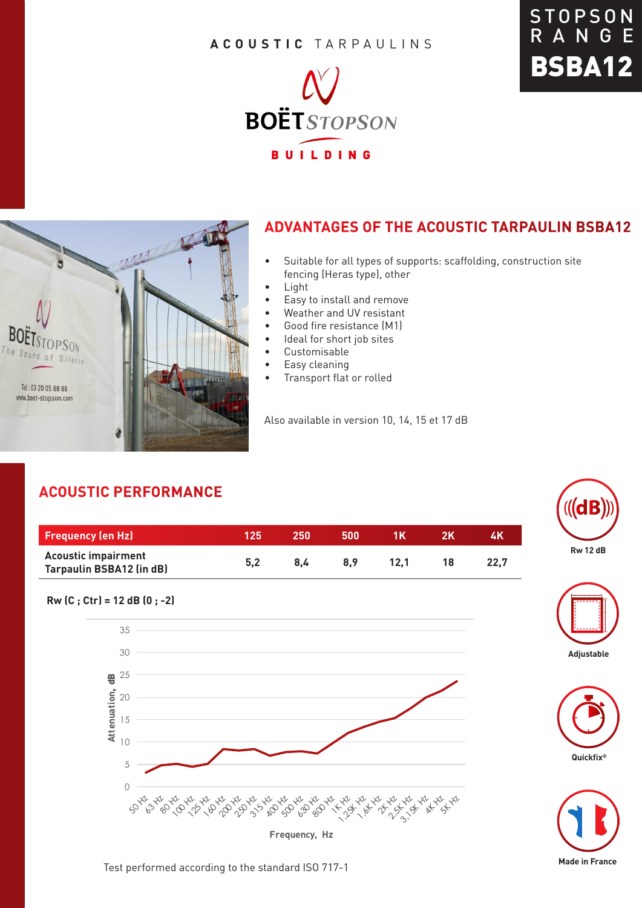#### **ACOUSTIC** TARPAULINS







### **ADVANTAGES OF THE ACOUSTIC TARPAULIN BSBA12**

- Suitable for all types of supports: scaffolding, construction site fencing (Heras type), other
- Light
- Easy to install and remove
- Weather and UV resistant
- Good fire resistance (M1)
- Ideal for short job sites
- Customisable
- Easy cleaning
- Transport flat or rolled

Also available in version 10, 14, 15 et 17 dB

## **ACOUSTIC PERFORMANCE**

**Rw (C ; Ctr) = 12 dB (0 ; -2)** 

5 10

15

20

30

35

 $9^{\frac{25}{2}}$ 

**Attenuation**, dB

| <b>Frequency (en Hz)</b>                                      | '125 | 250 | 500 | 1 K  | 4K   |
|---------------------------------------------------------------|------|-----|-----|------|------|
| <b>Acoustic impairment</b><br><b>Tarpaulin BSBA12 (in dB)</b> | 5.2  | 8.4 | 8.9 | 12.1 | 22.7 |

0

**Frequency, Hz**